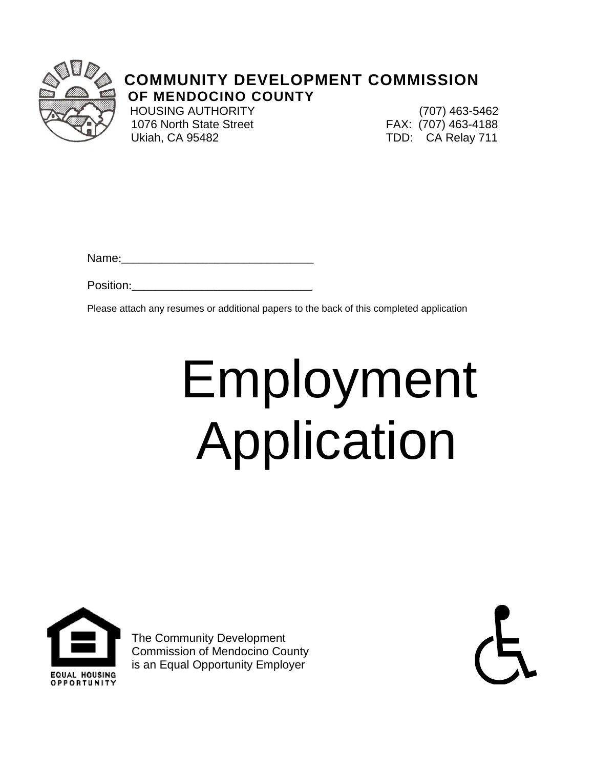

### **COMMUNITY DEVELOPMENT COMMISSION OF MENDOCINO COUNTY**

 1076 North State Street FAX: (707) 463-4188 Ukiah, CA 95482 TDD: CA Relay 711

HOUSING AUTHORITY (707) 463-5462

Name:

Position:

Please attach any resumes or additional papers to the back of this completed application

# Employment Application



The Community Development Commission of Mendocino County is an Equal Opportunity Employer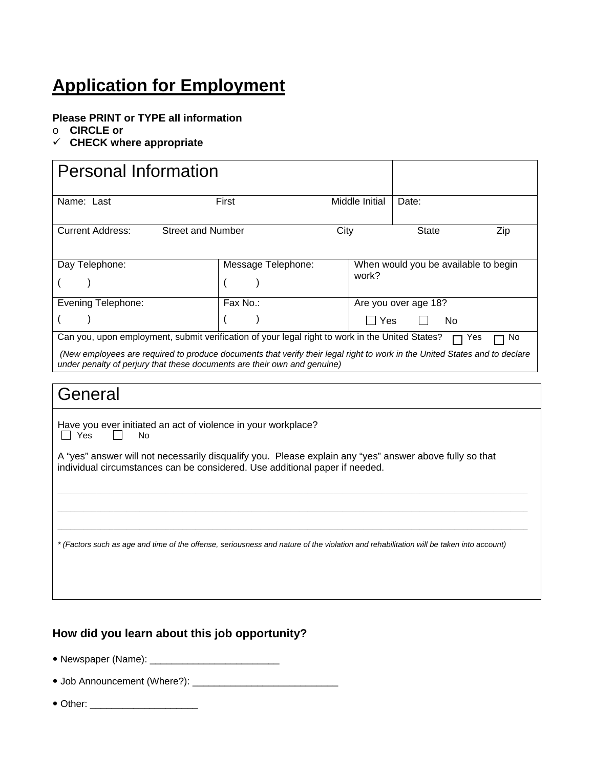## **Application for Employment**

#### **Please PRINT or TYPE all information**

- o **CIRCLE or**
- **CHECK where appropriate**

| <b>Personal Information</b>                                                                                                                                                                                                                                                                                            |                    |                |                                      |  |  |
|------------------------------------------------------------------------------------------------------------------------------------------------------------------------------------------------------------------------------------------------------------------------------------------------------------------------|--------------------|----------------|--------------------------------------|--|--|
| Name: Last                                                                                                                                                                                                                                                                                                             | First              | Middle Initial | Date:                                |  |  |
| <b>Current Address:</b><br><b>Street and Number</b><br>City<br>State<br>Zip                                                                                                                                                                                                                                            |                    |                |                                      |  |  |
| Day Telephone:                                                                                                                                                                                                                                                                                                         | Message Telephone: | work?          | When would you be available to begin |  |  |
| <b>Evening Telephone:</b>                                                                                                                                                                                                                                                                                              | Fax No.:           |                | Are you over age 18?                 |  |  |
|                                                                                                                                                                                                                                                                                                                        |                    | <b>Yes</b>     | No                                   |  |  |
| Can you, upon employment, submit verification of your legal right to work in the United States?<br>No<br>Yes<br>(New employees are required to produce documents that verify their legal right to work in the United States and to declare<br>under penalty of perjury that these documents are their own and genuine) |                    |                |                                      |  |  |

#### General

Have you ever initiated an act of violence in your workplace?  $\Box$  Yes  $\Box$  No

A "yes" answer will not necessarily disqualify you. Please explain any "yes" answer above fully so that individual circumstances can be considered. Use additional paper if needed.

*\* (Factors such as age and time of the offense, seriousness and nature of the violation and rehabilitation will be taken into account)*

**\_\_\_\_\_\_\_\_\_\_\_\_\_\_\_\_\_\_\_\_\_\_\_\_\_\_\_\_\_\_\_\_\_\_\_\_\_\_\_\_\_\_\_\_\_\_\_\_\_\_\_\_\_\_\_\_\_\_\_\_\_\_\_\_\_\_\_\_\_\_\_\_\_\_\_\_\_\_\_\_\_\_\_\_\_\_\_\_\_\_\_\_\_\_\_\_\_\_\_\_\_\_\_\_\_\_\_\_\_ \_\_\_\_\_\_\_\_\_\_\_\_\_\_\_\_\_\_\_\_\_\_\_\_\_\_\_\_\_\_\_\_\_\_\_\_\_\_\_\_\_\_\_\_\_\_\_\_\_\_\_\_\_\_\_\_\_\_\_\_\_\_\_\_\_\_\_\_\_\_\_\_\_\_\_\_\_\_\_\_\_\_\_\_\_\_\_\_\_\_\_\_\_\_\_\_\_\_\_\_\_\_\_\_\_\_\_\_\_ \_\_\_\_\_\_\_\_\_\_\_\_\_\_\_\_\_\_\_\_\_\_\_\_\_\_\_\_\_\_\_\_\_\_\_\_\_\_\_\_\_\_\_\_\_\_\_\_\_\_\_\_\_\_\_\_\_\_\_\_\_\_\_\_\_\_\_\_\_\_\_\_\_\_\_\_\_\_\_\_\_\_\_\_\_\_\_\_\_\_\_\_\_\_\_\_\_\_\_\_\_\_\_\_\_\_\_\_\_** 

#### **How did you learn about this job opportunity?**

- Newspaper (Name): \_\_\_\_\_\_\_\_\_\_\_\_\_\_\_\_\_\_\_\_\_\_\_\_
- Job Announcement (Where?): \_\_\_\_\_\_\_\_\_\_\_\_\_\_\_\_\_\_\_\_\_\_\_\_\_\_\_
- Other: \_\_\_\_\_\_\_\_\_\_\_\_\_\_\_\_\_\_\_\_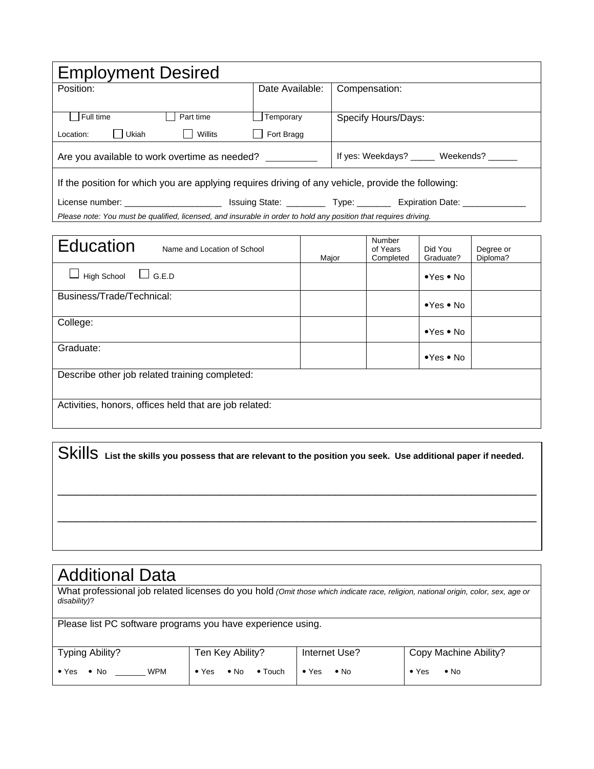| <b>Employment Desired</b>                                                                                            |                 |                     |  |  |  |
|----------------------------------------------------------------------------------------------------------------------|-----------------|---------------------|--|--|--|
| Position:                                                                                                            | Date Available: | Compensation:       |  |  |  |
|                                                                                                                      |                 |                     |  |  |  |
| Full time<br>Part time                                                                                               | Temporary       | Specify Hours/Days: |  |  |  |
| Ukiah<br>Willits<br>Location:                                                                                        | Fort Bragg      |                     |  |  |  |
| If yes: Weekdays? _____ Weekends? _____<br>Are you available to work overtime as needed? _________                   |                 |                     |  |  |  |
| If the position for which you are applying requires driving of any vehicle, provide the following:                   |                 |                     |  |  |  |
| Issuing State: ____________ Type: ___________ Expiration Date: _________<br>License number: ________________________ |                 |                     |  |  |  |
| Please note: You must be qualified, licensed, and insurable in order to hold any position that requires driving.     |                 |                     |  |  |  |

| Education<br>Name and Location of School               | Major | Number<br>of Years<br>Completed | Did You<br>Graduate?       | Degree or<br>Diploma? |  |
|--------------------------------------------------------|-------|---------------------------------|----------------------------|-----------------------|--|
| $\Box$ G.E.D<br><b>High School</b>                     |       |                                 | $\bullet$ Yes $\bullet$ No |                       |  |
| Business/Trade/Technical:                              |       |                                 | $\bullet$ Yes $\bullet$ No |                       |  |
| College:                                               |       |                                 | $\bullet$ Yes $\bullet$ No |                       |  |
| Graduate:                                              |       |                                 | $\bullet$ Yes $\bullet$ No |                       |  |
| Describe other job related training completed:         |       |                                 |                            |                       |  |
| Activities, honors, offices held that are job related: |       |                                 |                            |                       |  |

|  | SkillS List the skills you possess that are relevant to the position you seek. Use additional paper if needed. |  |
|--|----------------------------------------------------------------------------------------------------------------|--|
|  |                                                                                                                |  |
|  |                                                                                                                |  |
|  |                                                                                                                |  |

## Additional Data

What professional job related licenses do you hold *(Omit those which indicate race, religion, national origin, color, sex, age or disability)*?

| Please list PC software programs you have experience using. |                               |                            |                               |  |  |
|-------------------------------------------------------------|-------------------------------|----------------------------|-------------------------------|--|--|
| Typing Ability?                                             | Ten Key Ability?              | Internet Use?              | Copy Machine Ability?         |  |  |
| <b>WPM</b><br>$\bullet$ Yes<br>$\bullet$ No                 | • No • Touch<br>$\bullet$ Yes | $\bullet$ Yes $\bullet$ No | $\bullet$ Yes<br>$\bullet$ No |  |  |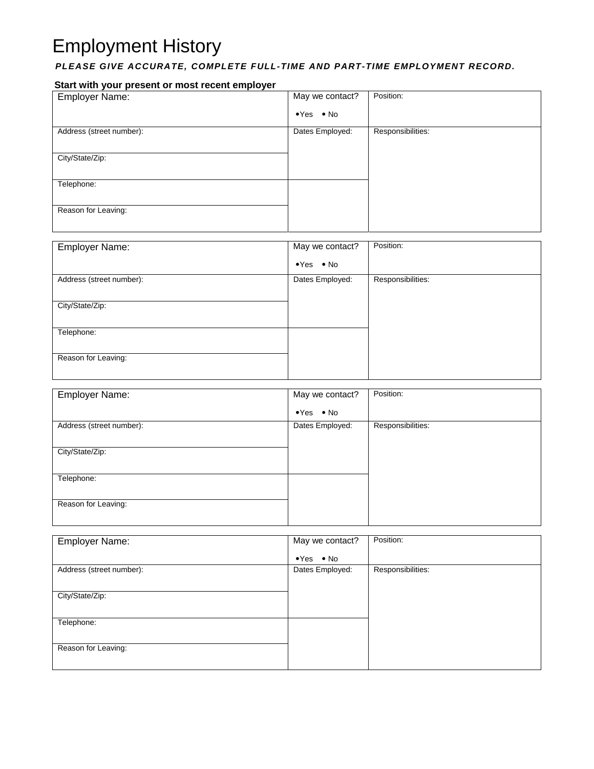# Employment History

#### *PLEASE GIVE ACCURATE, COMPLETE FULL-TIME AND PART-TIME EMPLOYMENT RECORD.*

#### **Start with your present or most recent employer**

| <b>Employer Name:</b>    | May we contact?            | Position:         |
|--------------------------|----------------------------|-------------------|
|                          | $\bullet$ Yes $\bullet$ No |                   |
| Address (street number): | Dates Employed:            | Responsibilities: |
|                          |                            |                   |
| City/State/Zip:          |                            |                   |
|                          |                            |                   |
| Telephone:               |                            |                   |
|                          |                            |                   |
| Reason for Leaving:      |                            |                   |
|                          |                            |                   |

| <b>Employer Name:</b>    | May we contact?            | Position:         |
|--------------------------|----------------------------|-------------------|
|                          | $\bullet$ Yes $\bullet$ No |                   |
| Address (street number): | Dates Employed:            | Responsibilities: |
|                          |                            |                   |
| City/State/Zip:          |                            |                   |
|                          |                            |                   |
| Telephone:               |                            |                   |
| Reason for Leaving:      |                            |                   |
|                          |                            |                   |
|                          |                            |                   |

| <b>Employer Name:</b>    | May we contact?            | Position:         |
|--------------------------|----------------------------|-------------------|
|                          | $\bullet$ Yes $\bullet$ No |                   |
| Address (street number): | Dates Employed:            | Responsibilities: |
|                          |                            |                   |
| City/State/Zip:          |                            |                   |
|                          |                            |                   |
| Telephone:               |                            |                   |
|                          |                            |                   |
| Reason for Leaving:      |                            |                   |
|                          |                            |                   |

| <b>Employer Name:</b>    | May we contact?            | Position:         |
|--------------------------|----------------------------|-------------------|
|                          | $\bullet$ Yes $\bullet$ No |                   |
| Address (street number): | Dates Employed:            | Responsibilities: |
|                          |                            |                   |
| City/State/Zip:          |                            |                   |
|                          |                            |                   |
| Telephone:               |                            |                   |
|                          |                            |                   |
| Reason for Leaving:      |                            |                   |
|                          |                            |                   |